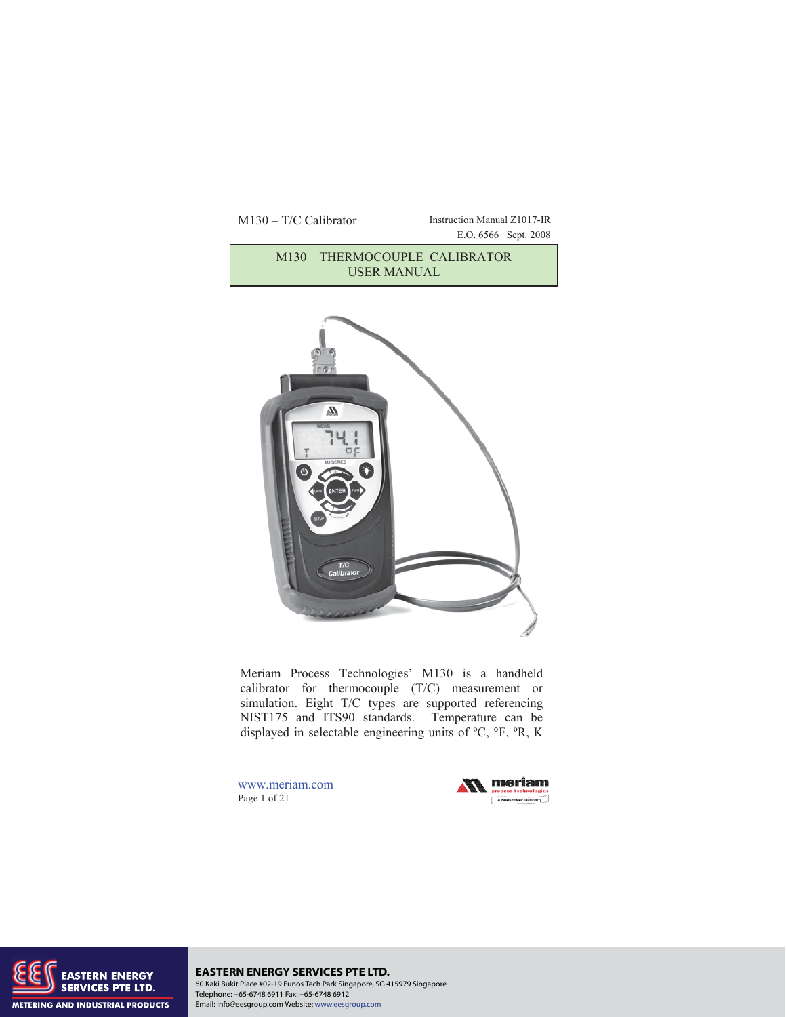# M130 – T/C Calibrator Instruction Manual Z1017-IR E.O. 6566 Sept. 2008 M130 – THERMOCOUPLE CALIBRATOR USER MANUAL



Meriam Process Technologies' M130 is a handheld calibrator for thermocouple (T/C) measurement or simulation. Eight T/C types are supported referencing NIST175 and ITS90 standards. Temperature can be displayed in selectable engineering units of ºC, °F, ºR, K

www.meriam.com Page 1 of 21





**EASTERN ENERGY SERVICES PTE LTD.** 60 Kaki Bukit Place #02-19 Eunos Tech Park Singapore, SG 415979 Singapore Telephone: +65-6748 6911 Fax: +65-6748 6912 Email: info@eesgroup.com Website: www.eesgroup.com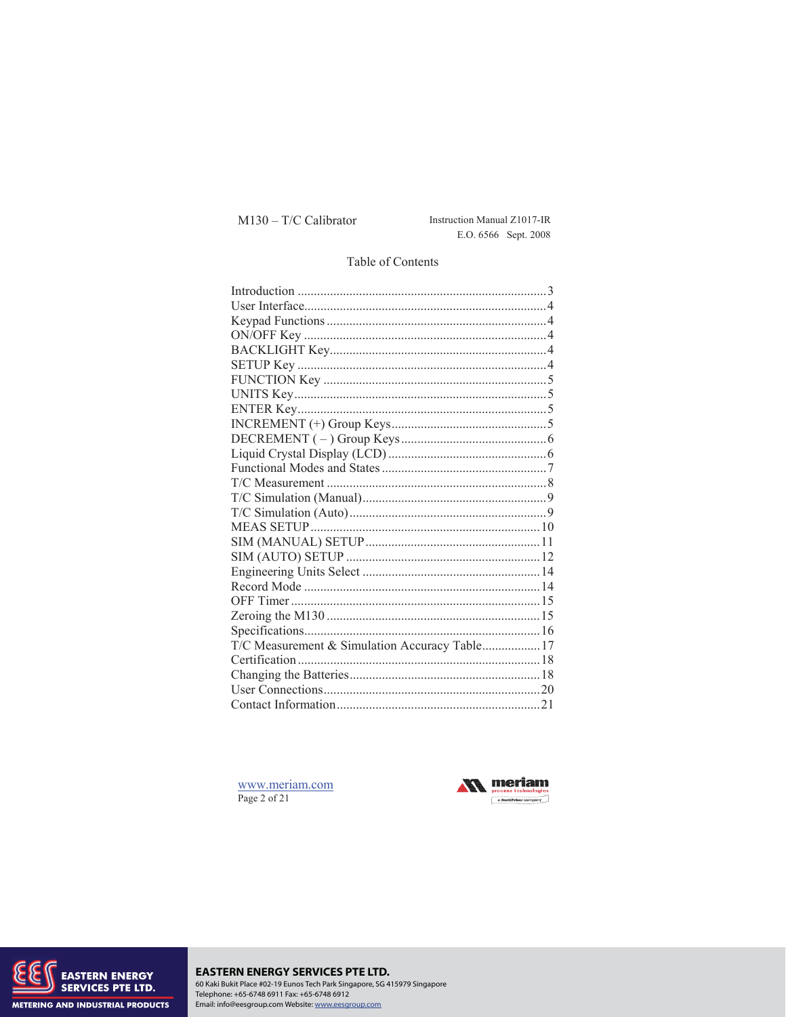# M130 - T/C Calibrator

Instruction Manual Z1017-IR E.O. 6566 Sept. 2008

## Table of Contents

| T/C Measurement & Simulation Accuracy Table 17 |  |
|------------------------------------------------|--|
|                                                |  |
|                                                |  |
|                                                |  |
|                                                |  |

www.meriam.com Page 2 of 21





## EASTERN ENERGY SERVICES PTE LTD.<br>60 Kaki Bukit Place #02-19 Eunos Tech Park Singapore, SG 415979 Singapore Telephone: +65-6748 6911 Fax: +65-6748 6912 Email: info@eesgroup.com Website: www.eesgroup.com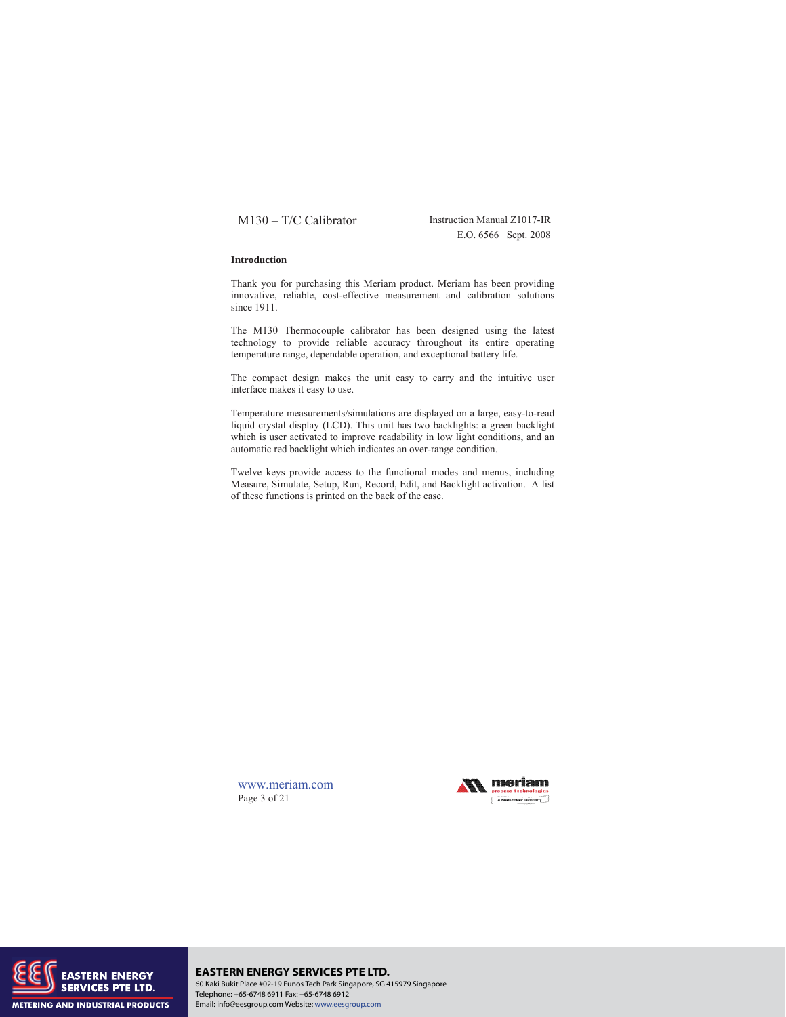E.O. 6566 Sept. 2008

#### **Introduction**

Thank you for purchasing this Meriam product. Meriam has been providing innovative, reliable, cost-effective measurement and calibration solutions since 1911.

The M130 Thermocouple calibrator has been designed using the latest technology to provide reliable accuracy throughout its entire operating temperature range, dependable operation, and exceptional battery life.

The compact design makes the unit easy to carry and the intuitive user interface makes it easy to use.

Temperature measurements/simulations are displayed on a large, easy-to-read liquid crystal display (LCD). This unit has two backlights: a green backlight which is user activated to improve readability in low light conditions, and an automatic red backlight which indicates an over-range condition.

Twelve keys provide access to the functional modes and menus, including Measure, Simulate, Setup, Run, Record, Edit, and Backlight activation. A list of these functions is printed on the back of the case.

www.meriam.com Page 3 of 21





## **EASTERN ENERGY SERVICES PTE LTD.** 60 Kaki Bukit Place #02-19 Eunos Tech Park Singapore, SG 415979 Singapore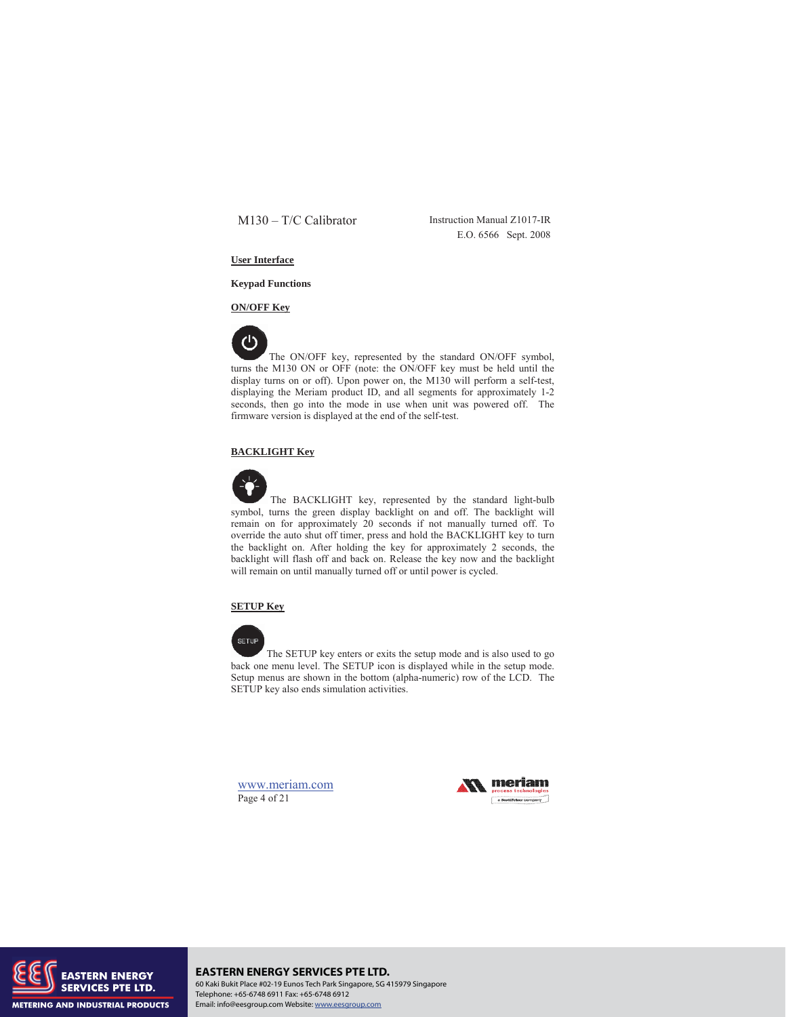E.O. 6566 Sept. 2008

## **User Interface**

**Keypad Functions** 

**ON/OFF Key** 



The ON/OFF key, represented by the standard ON/OFF symbol, turns the M130 ON or OFF (note: the ON/OFF key must be held until the display turns on or off). Upon power on, the M130 will perform a self-test, displaying the Meriam product ID, and all segments for approximately 1-2 seconds, then go into the mode in use when unit was powered off. The firmware version is displayed at the end of the self-test.

## **BACKLIGHT Key**



The BACKLIGHT key, represented by the standard light-bulb symbol, turns the green display backlight on and off. The backlight will remain on for approximately 20 seconds if not manually turned off. To override the auto shut off timer, press and hold the BACKLIGHT key to turn the backlight on. After holding the key for approximately 2 seconds, the backlight will flash off and back on. Release the key now and the backlight will remain on until manually turned off or until power is cycled.

## **SETUP Key**



 The SETUP key enters or exits the setup mode and is also used to go back one menu level. The SETUP icon is displayed while in the setup mode. Setup menus are shown in the bottom (alpha-numeric) row of the LCD. The SETUP key also ends simulation activities.

www.meriam.com Page 4 of 21





**EASTERN ENERGY SERVICES PTE LTD.** 60 Kaki Bukit Place #02-19 Eunos Tech Park Singapore, SG 415979 Singapore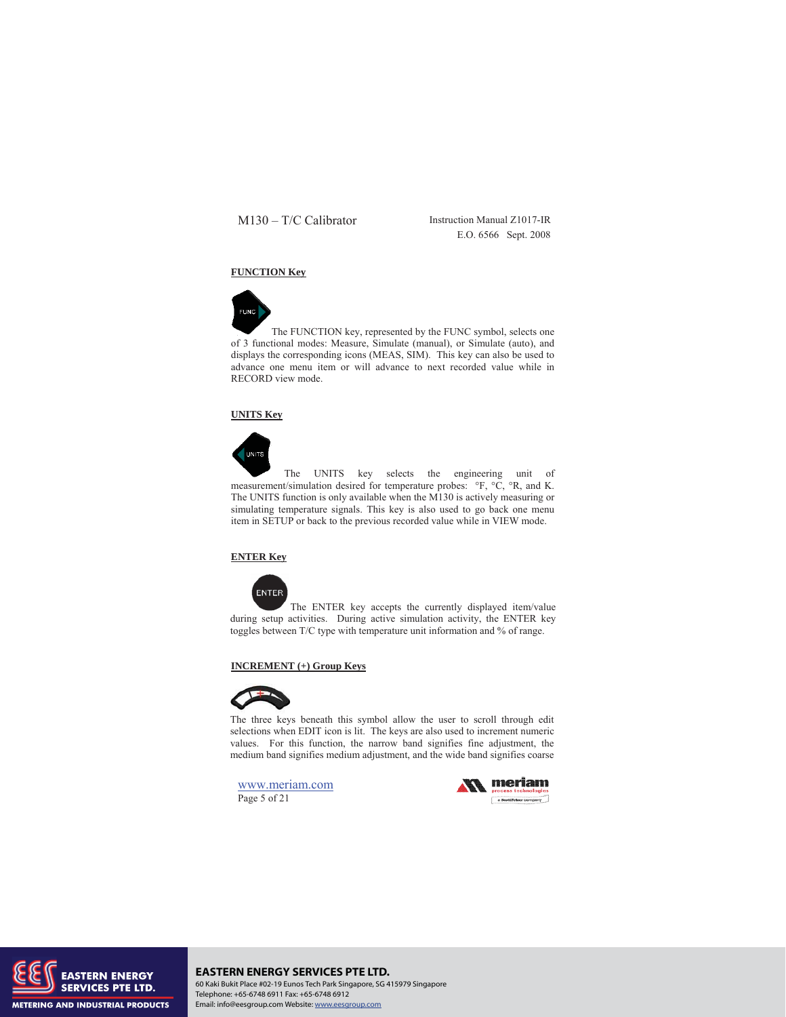E.O. 6566 Sept. 2008

## **FUNCTION Key**



The FUNCTION key, represented by the FUNC symbol, selects one of 3 functional modes: Measure, Simulate (manual), or Simulate (auto), and displays the corresponding icons (MEAS, SIM). This key can also be used to advance one menu item or will advance to next recorded value while in RECORD view mode.

## **UNITS Key**



 The UNITS key selects the engineering unit of measurement/simulation desired for temperature probes: °F, °C, °R, and K. The UNITS function is only available when the M130 is actively measuring or simulating temperature signals. This key is also used to go back one menu item in SETUP or back to the previous recorded value while in VIEW mode.

## **ENTER Key**



 The ENTER key accepts the currently displayed item/value during setup activities. During active simulation activity, the ENTER key toggles between T/C type with temperature unit information and % of range.

### **INCREMENT (+) Group Keys**



The three keys beneath this symbol allow the user to scroll through edit selections when EDIT icon is lit. The keys are also used to increment numeric values. For this function, the narrow band signifies fine adjustment, the medium band signifies medium adjustment, and the wide band signifies coarse

www.meriam.com Page 5 of 21





**EASTERN ENERGY SERVICES PTE LTD.** 60 Kaki Bukit Place #02-19 Eunos Tech Park Singapore, SG 415979 Singapore Telephone: +65-6748 6911 Fax: +65-6748 6912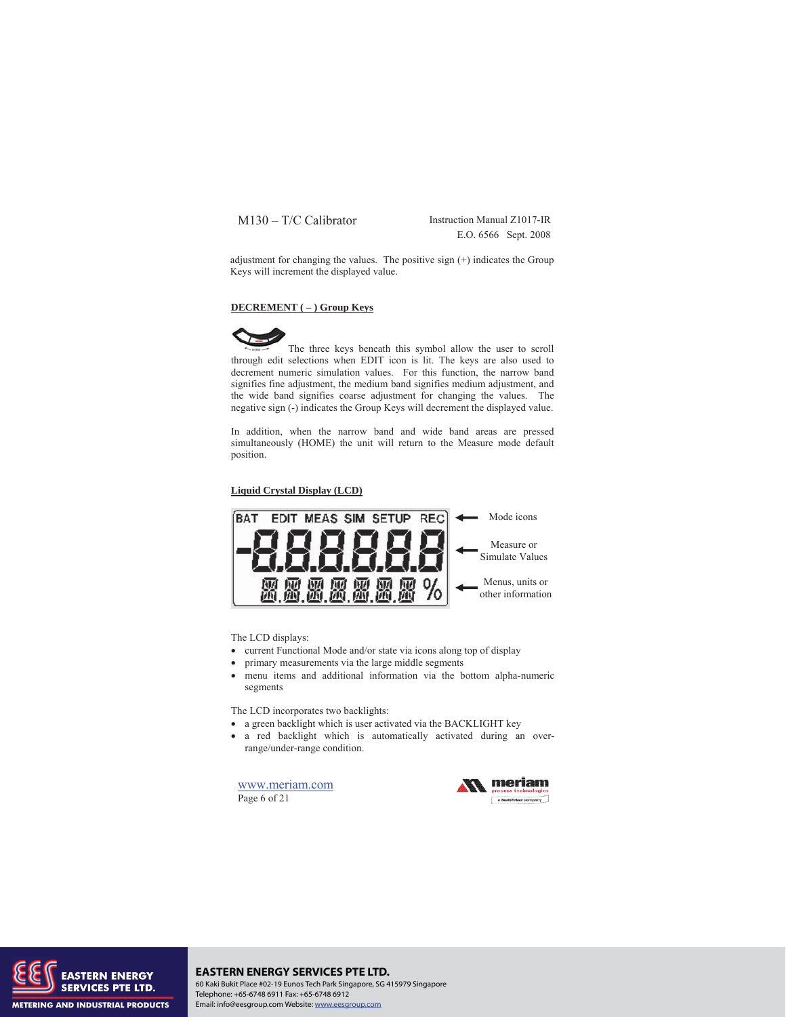E.O. 6566 Sept. 2008

adjustment for changing the values. The positive sign (+) indicates the Group Keys will increment the displayed value.

#### **DECREMENT ( – ) Group Keys**



The three keys beneath this symbol allow the user to scroll through edit selections when EDIT icon is lit. The keys are also used to decrement numeric simulation values. For this function, the narrow band signifies fine adjustment, the medium band signifies medium adjustment, and the wide band signifies coarse adjustment for changing the values. The negative sign (-) indicates the Group Keys will decrement the displayed value.

In addition, when the narrow band and wide band areas are pressed simultaneously (HOME) the unit will return to the Measure mode default position.

#### **Liquid Crystal Display (LCD)**



The LCD displays:

- current Functional Mode and/or state via icons along top of display
- primary measurements via the large middle segments
- x menu items and additional information via the bottom alpha-numeric segments

The LCD incorporates two backlights:

- a green backlight which is user activated via the BACKLIGHT key
- a red backlight which is automatically activated during an overrange/under-range condition.

www.meriam.com Page 6 of 21





# **EASTERN ENERGY SERVICES PTE LTD.**

60 Kaki Bukit Place #02-19 Eunos Tech Park Singapore, SG 415979 Singapore Telephone: +65-6748 6911 Fax: +65-6748 6912 Email: info@eesgroup.com Website: www.eesgroup.com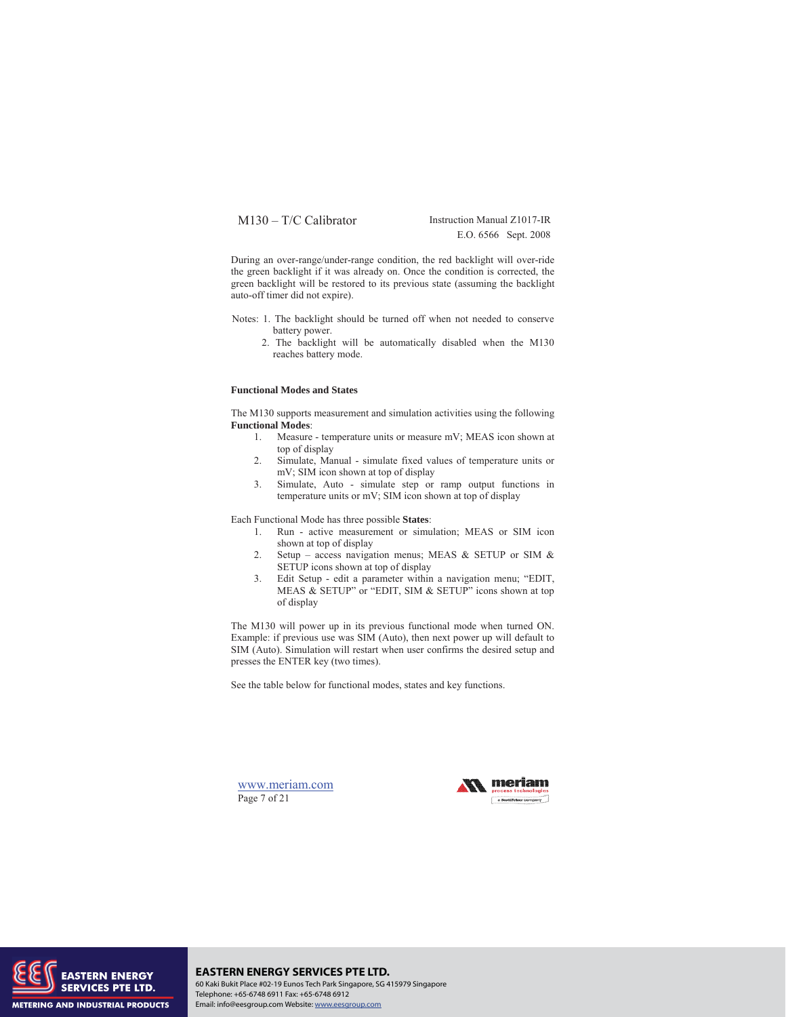E.O. 6566 Sept. 2008

During an over-range/under-range condition, the red backlight will over-ride the green backlight if it was already on. Once the condition is corrected, the green backlight will be restored to its previous state (assuming the backlight auto-off timer did not expire).

- Notes: 1. The backlight should be turned off when not needed to conserve battery power.
	- 2. The backlight will be automatically disabled when the M130 reaches battery mode.

## **Functional Modes and States**

The M130 supports measurement and simulation activities using the following **Functional Modes**:

- 1. Measure temperature units or measure mV; MEAS icon shown at top of display
- 2. Simulate, Manual simulate fixed values of temperature units or mV; SIM icon shown at top of display
- 3. Simulate, Auto simulate step or ramp output functions in temperature units or mV; SIM icon shown at top of display

Each Functional Mode has three possible **States**:

- 1. Run active measurement or simulation; MEAS or SIM icon shown at top of display
- 2. Setup access navigation menus; MEAS & SETUP or SIM & SETUP icons shown at top of display
- 3. Edit Setup edit a parameter within a navigation menu; "EDIT, MEAS & SETUP" or "EDIT, SIM & SETUP" icons shown at top of display

The M130 will power up in its previous functional mode when turned ON. Example: if previous use was SIM (Auto), then next power up will default to SIM (Auto). Simulation will restart when user confirms the desired setup and presses the ENTER key (two times).

See the table below for functional modes, states and key functions.

www.meriam.com Page 7 of 21





**EASTERN ENERGY SERVICES PTE LTD.** 60 Kaki Bukit Place #02-19 Eunos Tech Park Singapore, SG 415979 Singapore Telephone: +65-6748 6911 Fax: +65-6748 6912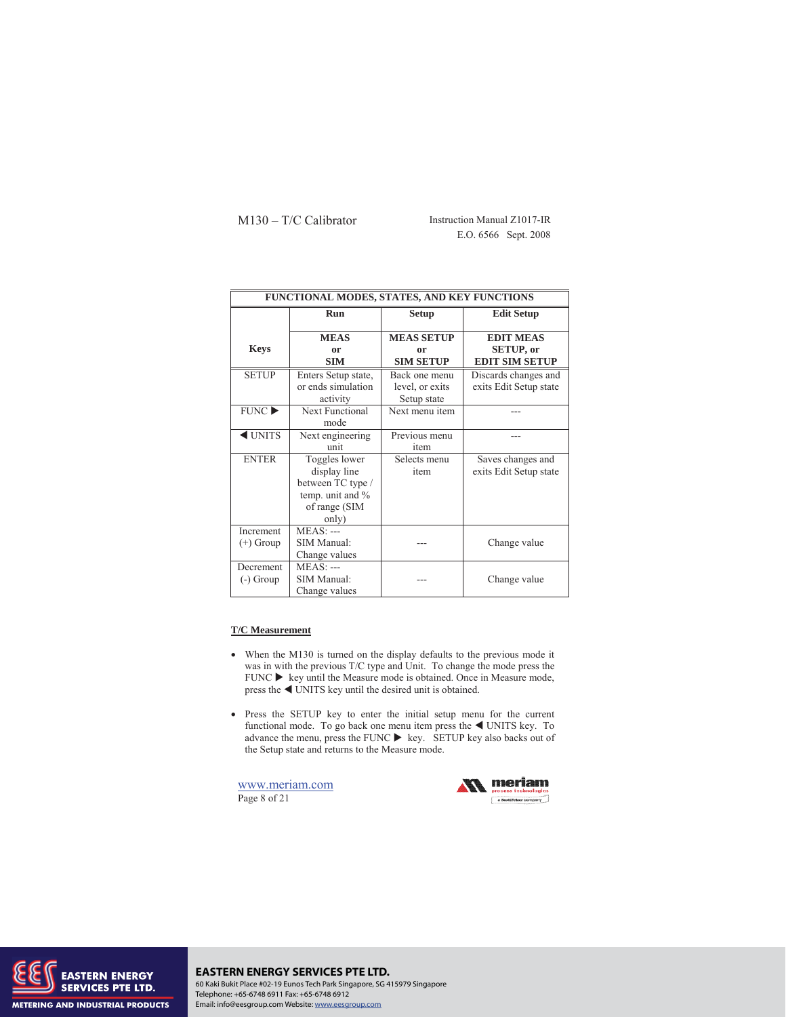M130 – T/C Calibrator Instruction Manual Z1017-IR E.O. 6566 Sept. 2008

| FUNCTIONAL MODES, STATES, AND KEY FUNCTIONS |                                                                                                  |                                                 |                                                               |  |  |
|---------------------------------------------|--------------------------------------------------------------------------------------------------|-------------------------------------------------|---------------------------------------------------------------|--|--|
|                                             | <b>Run</b>                                                                                       | <b>Setup</b>                                    | <b>Edit Setup</b>                                             |  |  |
| <b>Keys</b>                                 | <b>MEAS</b><br>or<br><b>SIM</b>                                                                  | <b>MEAS SETUP</b><br>or<br><b>SIM SETUP</b>     | <b>EDIT MEAS</b><br><b>SETUP, or</b><br><b>EDIT SIM SETUP</b> |  |  |
| <b>SETUP</b>                                | Enters Setup state,<br>or ends simulation<br>activity                                            | Back one menu<br>level, or exits<br>Setup state | Discards changes and<br>exits Edit Setup state                |  |  |
| FUNCTIONC                                   | <b>Next Functional</b><br>mode                                                                   | Next menu item                                  |                                                               |  |  |
| $\triangleleft$ UNITS                       | Next engineering<br>unit                                                                         | Previous menu<br>item                           |                                                               |  |  |
| <b>ENTER</b>                                | Toggles lower<br>display line<br>between TC type /<br>temp. unit and %<br>of range (SIM<br>only) | Selects menu<br>item                            | Saves changes and<br>exits Edit Setup state                   |  |  |
| Increment<br>$(+)$ Group                    | $MEAS: --$<br>SIM Manual:<br>Change values                                                       |                                                 | Change value                                                  |  |  |
| <b>Decrement</b><br>$(-)$ Group             | <b>MEAS</b> : ---<br><b>SIM Manual:</b><br>Change values                                         |                                                 | Change value                                                  |  |  |

## **T/C Measurement**

- When the M130 is turned on the display defaults to the previous mode it was in with the previous T/C type and Unit. To change the mode press the  $FUNC$   $\blacktriangleright$  key until the Measure mode is obtained. Once in Measure mode, press the  $\blacktriangleleft$  UNITS key until the desired unit is obtained.
- x Press the SETUP key to enter the initial setup menu for the current functional mode. To go back one menu item press the  $\triangleleft$  UNITS key. To advance the menu, press the FUNC  $\blacktriangleright$  key. SETUP key also backs out of the Setup state and returns to the Measure mode.

www.meriam.com Page 8 of 21





#### **EASTERN ENERGY SERVICES PTE LTD.** 60 Kaki Bukit Place #02-19 Eunos Tech Park Singapore, SG 415979 Singapore Telephone: +65-6748 6911 Fax: +65-6748 6912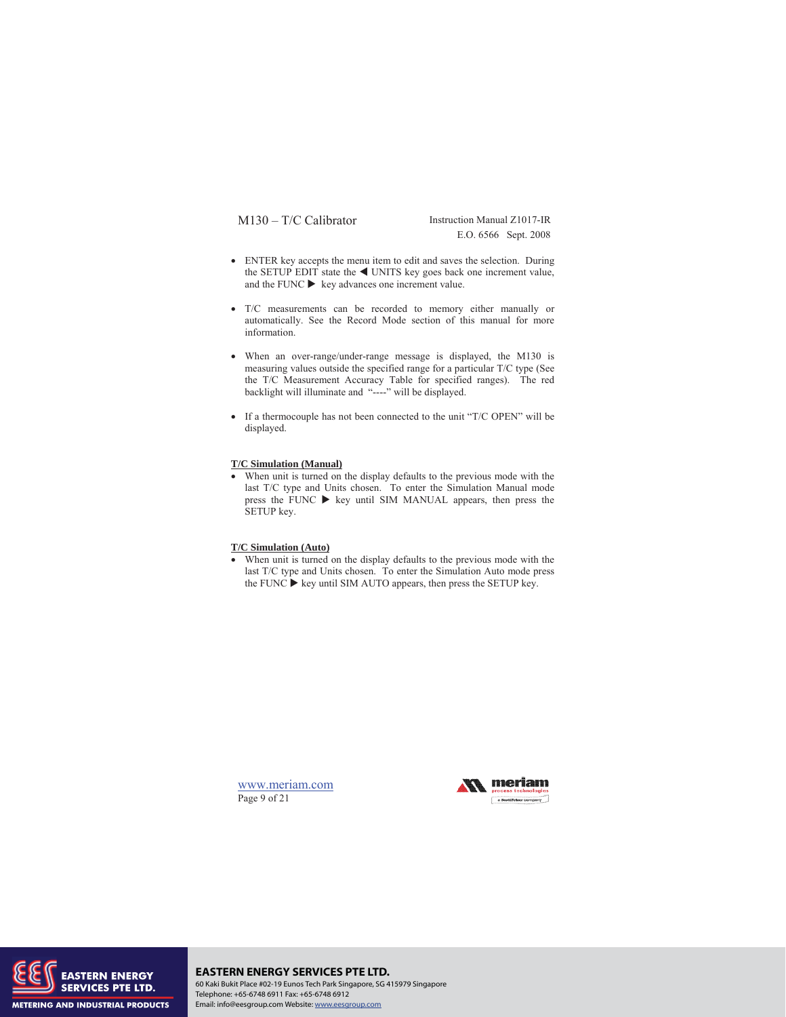E.O. 6566 Sept. 2008

- ENTER key accepts the menu item to edit and saves the selection. During the SETUP EDIT state the  $\blacktriangleleft$  UNITS key goes back one increment value, and the FUNC  $\triangleright$  key advances one increment value.
- T/C measurements can be recorded to memory either manually or automatically. See the Record Mode section of this manual for more information.
- When an over-range/under-range message is displayed, the M130 is measuring values outside the specified range for a particular T/C type (See the T/C Measurement Accuracy Table for specified ranges). The red backlight will illuminate and "----" will be displayed.
- If a thermocouple has not been connected to the unit "T/C OPEN" will be displayed.

### **T/C Simulation (Manual)**

• When unit is turned on the display defaults to the previous mode with the last T/C type and Units chosen. To enter the Simulation Manual mode press the FUNC  $\blacktriangleright$  key until SIM MANUAL appears, then press the SETUP key.

## **T/C Simulation (Auto)**

• When unit is turned on the display defaults to the previous mode with the last T/C type and Units chosen. To enter the Simulation Auto mode press the FUNC  $\blacktriangleright$  key until SIM AUTO appears, then press the SETUP key.

www.meriam.com Page 9 of 21





**EASTERN ENERGY SERVICES PTE LTD.** 60 Kaki Bukit Place #02-19 Eunos Tech Park Singapore, SG 415979 Singapore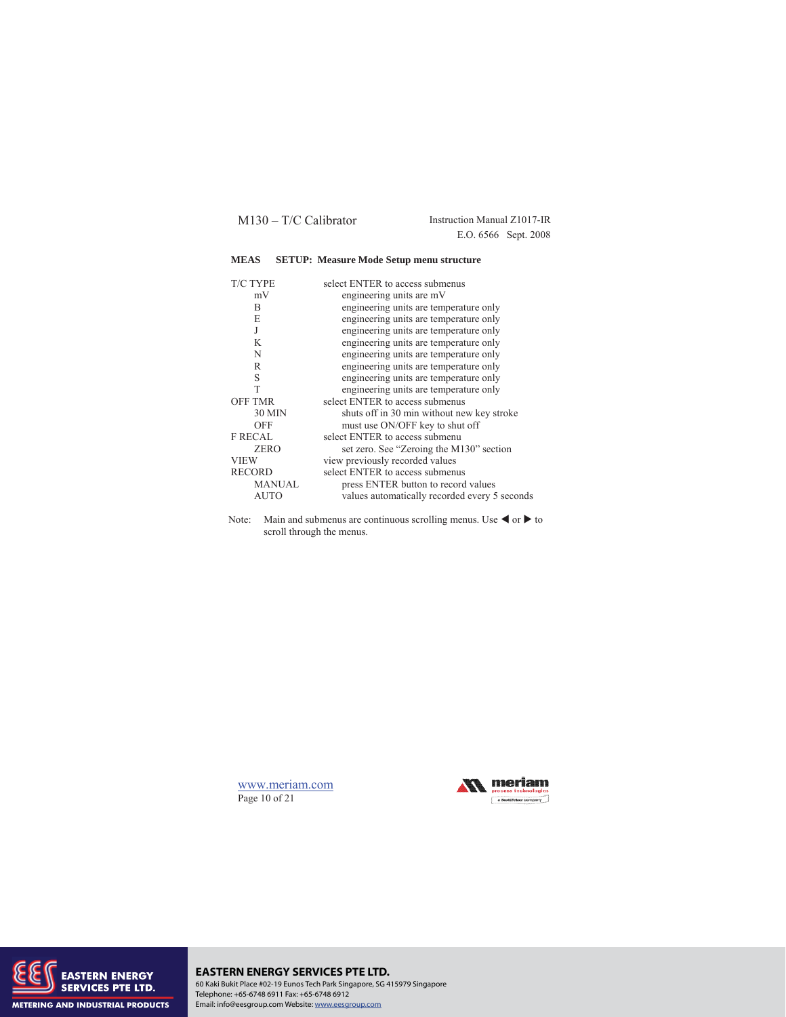E.O. 6566 Sept. 2008

## **MEAS SETUP: Measure Mode Setup menu structure**

| <b>T/C TYPE</b> | select ENTER to access submenus               |
|-----------------|-----------------------------------------------|
| mV              | engineering units are mV                      |
| B               | engineering units are temperature only        |
| E               | engineering units are temperature only        |
| J               | engineering units are temperature only        |
| K               | engineering units are temperature only        |
| N               | engineering units are temperature only        |
| R               | engineering units are temperature only        |
| S               | engineering units are temperature only        |
| T               | engineering units are temperature only        |
| <b>OFF TMR</b>  | select ENTER to access submenus               |
| 30 MIN          | shuts off in 30 min without new key stroke    |
| <b>OFF</b>      | must use ON/OFF key to shut off               |
| <b>F RECAL</b>  | select ENTER to access submenu                |
| <b>ZERO</b>     | set zero. See "Zeroing the M130" section      |
| <b>VIEW</b>     | view previously recorded values               |
| <b>RECORD</b>   | select ENTER to access submenus               |
| MANUAL          | press ENTER button to record values           |
| <b>AUTO</b>     | values automatically recorded every 5 seconds |
|                 |                                               |

Note: Main and submenus are continuous scrolling menus. Use  $\blacktriangleleft$  or  $\blacktriangleright$  to scroll through the menus.

www.meriam.com Page 10 of 21





#### **EASTERN ENERGY SERVICES PTE LTD.** 60 Kaki Bukit Place #02-19 Eunos Tech Park Singapore, SG 415979 Singapore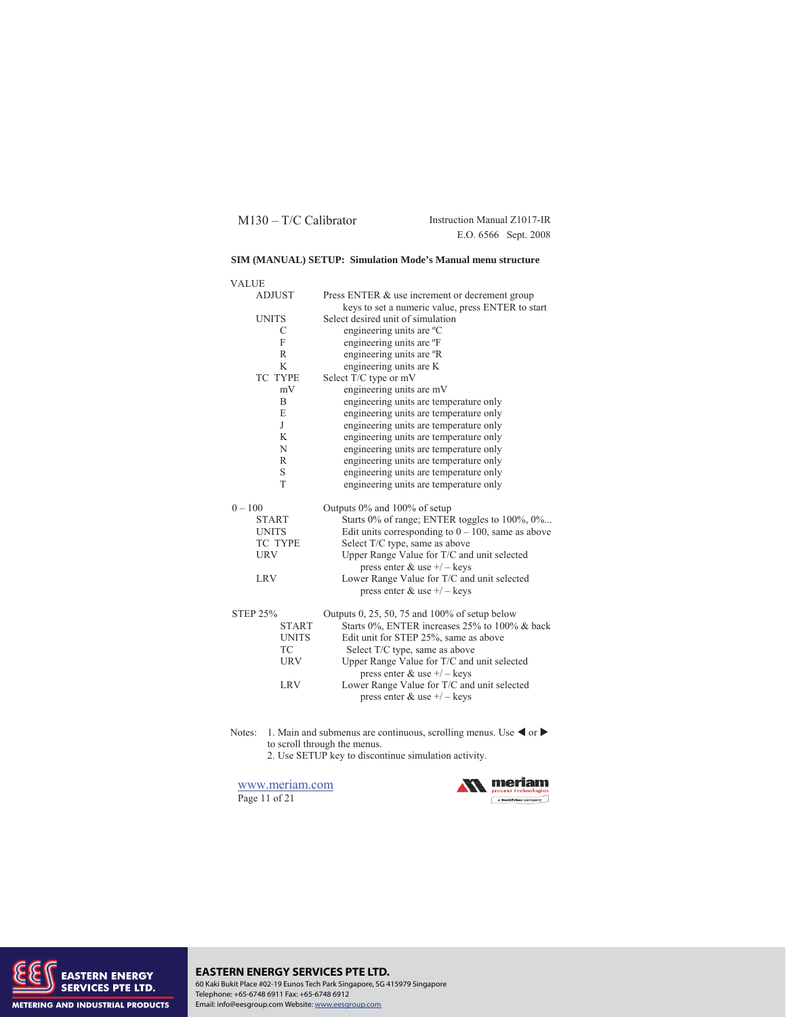E.O. 6566 Sept. 2008

## **SIM (MANUAL) SETUP: Simulation Mode's Manual menu structure**

| <b>VALUE</b>              |                                                                                |
|---------------------------|--------------------------------------------------------------------------------|
| <b>ADJUST</b>             | Press ENTER & use increment or decrement group                                 |
|                           | keys to set a numeric value, press ENTER to start                              |
| <b>UNITS</b>              | Select desired unit of simulation                                              |
| С                         | engineering units are °C                                                       |
| F                         | engineering units are °F                                                       |
| R                         | engineering units are <sup>o</sup> R                                           |
| K                         | engineering units are K                                                        |
| <b>TC TYPE</b>            | Select T/C type or mV                                                          |
| mV                        | engineering units are mV                                                       |
| B                         | engineering units are temperature only                                         |
| E                         | engineering units are temperature only                                         |
| J                         | engineering units are temperature only                                         |
| K                         | engineering units are temperature only                                         |
| N                         | engineering units are temperature only                                         |
| R                         | engineering units are temperature only                                         |
| S                         | engineering units are temperature only                                         |
| T                         | engineering units are temperature only                                         |
|                           |                                                                                |
| $0 - 100$                 |                                                                                |
| <b>START</b>              | Outputs 0% and 100% of setup<br>Starts 0% of range; ENTER toggles to 100%, 0%  |
| <b>UNITS</b>              | Edit units corresponding to $0 - 100$ , same as above                          |
| TC TYPE                   |                                                                                |
| <b>URV</b>                | Select T/C type, same as above<br>Upper Range Value for T/C and unit selected  |
|                           | press enter $&$ use $+/-$ keys                                                 |
| <b>LRV</b>                | Lower Range Value for T/C and unit selected                                    |
|                           | press enter $&$ use $+/-$ keys                                                 |
|                           |                                                                                |
| <b>STEP 25%</b>           | Outputs 0, 25, 50, 75 and 100% of setup below                                  |
| <b>START</b>              | Starts 0%, ENTER increases 25% to 100% & back                                  |
| <b>UNITS</b><br><b>TC</b> | Edit unit for STEP 25%, same as above                                          |
| <b>URV</b>                | Select T/C type, same as above                                                 |
|                           | Upper Range Value for T/C and unit selected<br>press enter $\&$ use $+/-$ keys |
| <b>LRV</b>                |                                                                                |
|                           | Lower Range Value for T/C and unit selected<br>press enter $\&$ use $+/-$ keys |

Notes: 1. Main and submenus are continuous, scrolling menus. Use  $\triangleleft$  or  $\triangleright$ to scroll through the menus.

2. Use SETUP key to discontinue simulation activity.

www.meriam.com Page 11 of 21





#### **EASTERN ENERGY SERVICES PTE LTD.** 60 Kaki Bukit Place #02-19 Eunos Tech Park Singapore, SG 415979 Singapore Telephone: +65-6748 6911 Fax: +65-6748 6912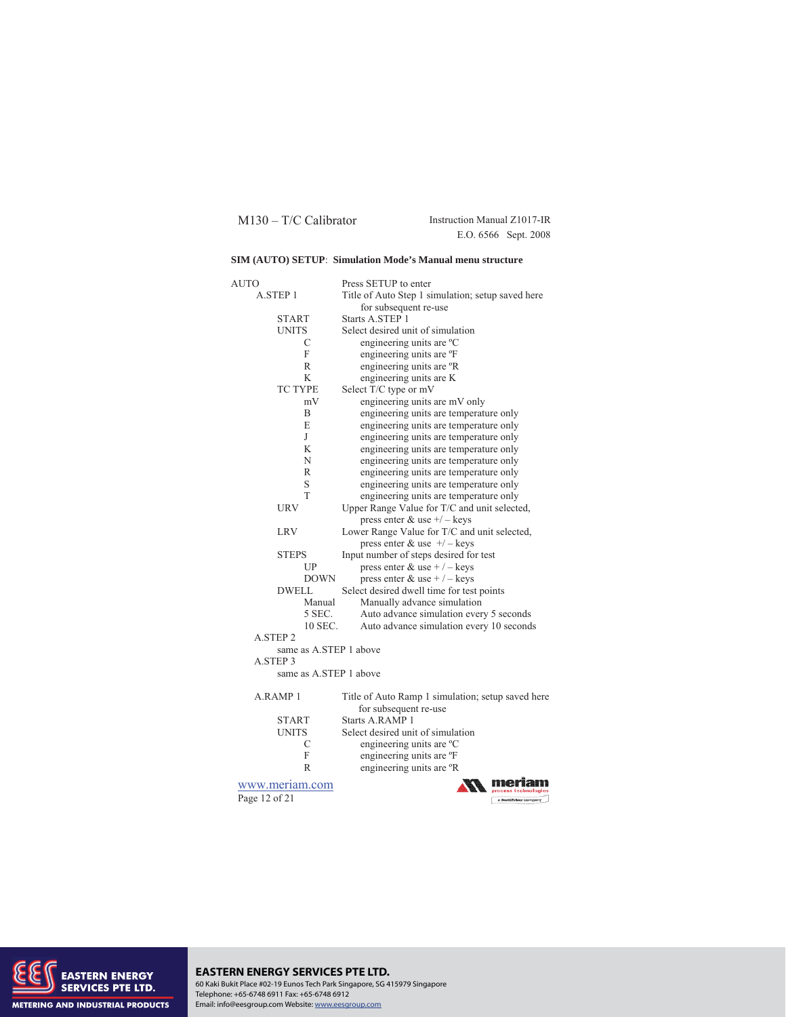E.O. 6566 Sept. 2008

## **SIM (AUTO) SETUP**: **Simulation Mode's Manual menu structure**

| AUTO                   | Press SETUP to enter                              |  |  |  |
|------------------------|---------------------------------------------------|--|--|--|
| A.STEP 1               | Title of Auto Step 1 simulation; setup saved here |  |  |  |
|                        | for subsequent re-use                             |  |  |  |
| <b>START</b>           | Starts A.STEP 1                                   |  |  |  |
| <b>UNITS</b>           | Select desired unit of simulation                 |  |  |  |
| C                      | engineering units are °C                          |  |  |  |
| F                      | engineering units are °F                          |  |  |  |
| R                      | engineering units are °R                          |  |  |  |
| K                      | engineering units are K                           |  |  |  |
| <b>TC TYPE</b>         | Select T/C type or mV                             |  |  |  |
| mV                     | engineering units are mV only                     |  |  |  |
| B                      | engineering units are temperature only            |  |  |  |
| E                      | engineering units are temperature only            |  |  |  |
| J                      | engineering units are temperature only            |  |  |  |
| K                      | engineering units are temperature only            |  |  |  |
| N                      | engineering units are temperature only            |  |  |  |
| $\mathbb{R}$           | engineering units are temperature only            |  |  |  |
| S                      | engineering units are temperature only            |  |  |  |
| T                      | engineering units are temperature only            |  |  |  |
| URV                    | Upper Range Value for T/C and unit selected,      |  |  |  |
|                        | press enter & use $+/-$ keys                      |  |  |  |
| <b>LRV</b>             | Lower Range Value for T/C and unit selected,      |  |  |  |
|                        | press enter & use $+/-$ keys                      |  |  |  |
| <b>STEPS</b>           | Input number of steps desired for test            |  |  |  |
|                        |                                                   |  |  |  |
| UP                     | press enter & use + $/$ – keys                    |  |  |  |
| <b>DOWN</b>            | press enter & use + $/$ – keys                    |  |  |  |
| <b>DWELL</b>           | Select desired dwell time for test points         |  |  |  |
| Manual                 | Manually advance simulation                       |  |  |  |
| 5 SEC.                 | Auto advance simulation every 5 seconds           |  |  |  |
| 10 SEC.                | Auto advance simulation every 10 seconds          |  |  |  |
| A.STEP 2               |                                                   |  |  |  |
| same as A.STEP 1 above |                                                   |  |  |  |
| A STEP 3               |                                                   |  |  |  |
| same as A.STEP 1 above |                                                   |  |  |  |
| A RAMP <sub>1</sub>    | Title of Auto Ramp 1 simulation; setup saved here |  |  |  |
|                        | for subsequent re-use                             |  |  |  |
| <b>START</b>           | Starts A.RAMP 1                                   |  |  |  |
| <b>UNITS</b>           | Select desired unit of simulation                 |  |  |  |
| С                      | engineering units are °C                          |  |  |  |
| F                      | engineering units are °F                          |  |  |  |
| R                      | engineering units are °R                          |  |  |  |
|                        |                                                   |  |  |  |
| www.meriam.com         | ocess technologias                                |  |  |  |
| Page 12 of 21          | a ScottFeteer company                             |  |  |  |



## **EASTERN ENERGY SERVICES PTE LTD.** 60 Kaki Bukit Place #02-19 Eunos Tech Park Singapore, SG 415979 Singapore Telephone: +65-6748 6911 Fax: +65-6748 6912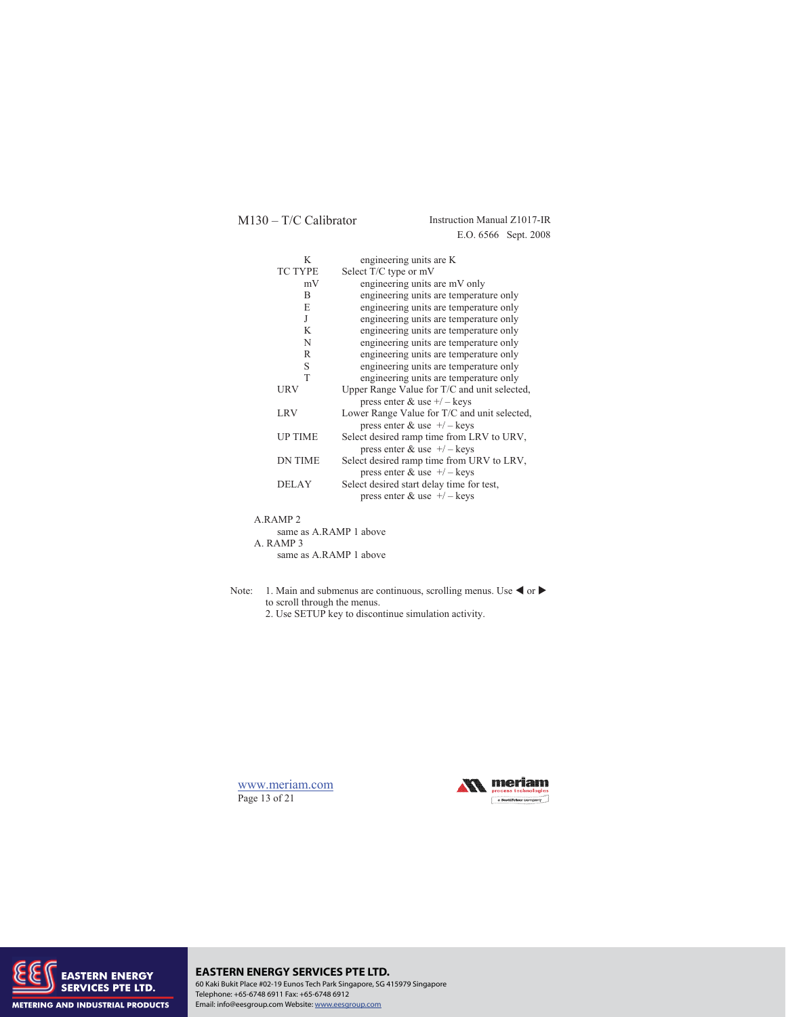E.O. 6566 Sept. 2008

| K              | engineering units are K                      |
|----------------|----------------------------------------------|
| <b>TC TYPE</b> | Select T/C type or mV                        |
| mV             | engineering units are mV only                |
| B              | engineering units are temperature only       |
| E              | engineering units are temperature only       |
| J              | engineering units are temperature only       |
| K              | engineering units are temperature only       |
| N              | engineering units are temperature only       |
| R              | engineering units are temperature only       |
| S              | engineering units are temperature only       |
| T              | engineering units are temperature only       |
| URV            | Upper Range Value for T/C and unit selected, |
|                | press enter $\&$ use $+/-$ keys              |
| LRV            | Lower Range Value for T/C and unit selected, |
|                | press enter & use $+/-$ keys                 |
| <b>UP TIME</b> | Select desired ramp time from LRV to URV,    |
|                | press enter $&$ use $+/-$ keys               |
| <b>DN TIME</b> | Select desired ramp time from URV to LRV,    |
|                | press enter $&$ use $+/-$ keys               |
| <b>DELAY</b>   | Select desired start delay time for test,    |
|                | press enter $&$ use $+/-$ keys               |
|                |                                              |

| A RAMP 2               |  |
|------------------------|--|
| same as A RAMP 1 above |  |
| A. RAMP 3              |  |
| same as A RAMP 1 above |  |

- Note: 1. Main and submenus are continuous, scrolling menus. Use  $\blacktriangleleft$  or  $\blacktriangleright$ to scroll through the menus.
	- 2. Use SETUP key to discontinue simulation activity.







#### **EASTERN ENERGY SERVICES PTE LTD.** 60 Kaki Bukit Place #02-19 Eunos Tech Park Singapore, SG 415979 Singapore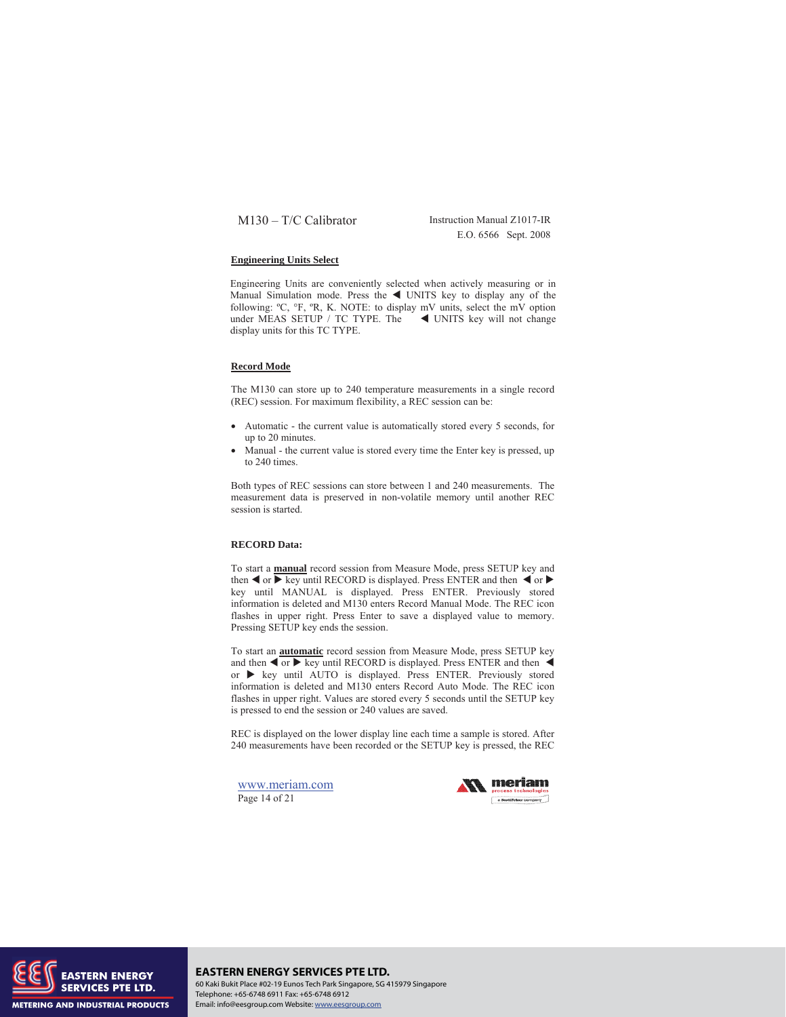E.O. 6566 Sept. 2008

## **Engineering Units Select**

Engineering Units are conveniently selected when actively measuring or in Manual Simulation mode. Press the  $\blacktriangleleft$  UNITS key to display any of the following: ºC, °F, ºR, K. NOTE: to display mV units, select the mV option under MEAS SETUP / TC TYPE. The  $\blacktriangleleft$  UNITS key will not change display units for this TC TYPE.

#### **Record Mode**

The M130 can store up to 240 temperature measurements in a single record (REC) session. For maximum flexibility, a REC session can be:

- Automatic the current value is automatically stored every 5 seconds, for up to 20 minutes.
- Manual the current value is stored every time the Enter key is pressed, up to 240 times.

Both types of REC sessions can store between 1 and 240 measurements. The measurement data is preserved in non-volatile memory until another REC session is started.

#### **RECORD Data:**

To start a **manual** record session from Measure Mode, press SETUP key and then  $\triangleleft$  or  $\triangleright$  key until RECORD is displayed. Press ENTER and then  $\triangleleft$  or  $\triangleright$ key until MANUAL is displayed. Press ENTER. Previously stored information is deleted and M130 enters Record Manual Mode. The REC icon flashes in upper right. Press Enter to save a displayed value to memory. Pressing SETUP key ends the session.

To start an **automatic** record session from Measure Mode, press SETUP key and then  $\blacktriangleleft$  or  $\blacktriangleright$  key until RECORD is displayed. Press ENTER and then  $\blacktriangleleft$ or  $\triangleright$  key until AUTO is displayed. Press ENTER. Previously stored information is deleted and M130 enters Record Auto Mode. The REC icon flashes in upper right. Values are stored every 5 seconds until the SETUP key is pressed to end the session or 240 values are saved.

REC is displayed on the lower display line each time a sample is stored. After 240 measurements have been recorded or the SETUP key is pressed, the REC

www.meriam.com Page 14 of 21





**EASTERN ENERGY SERVICES PTE LTD.** 60 Kaki Bukit Place #02-19 Eunos Tech Park Singapore, SG 415979 Singapore Telephone: +65-6748 6911 Fax: +65-6748 6912 Email: info@eesgroup.com Website: www.eesgroup.com

**METERING AND INDUSTRIAL PRODUCTS**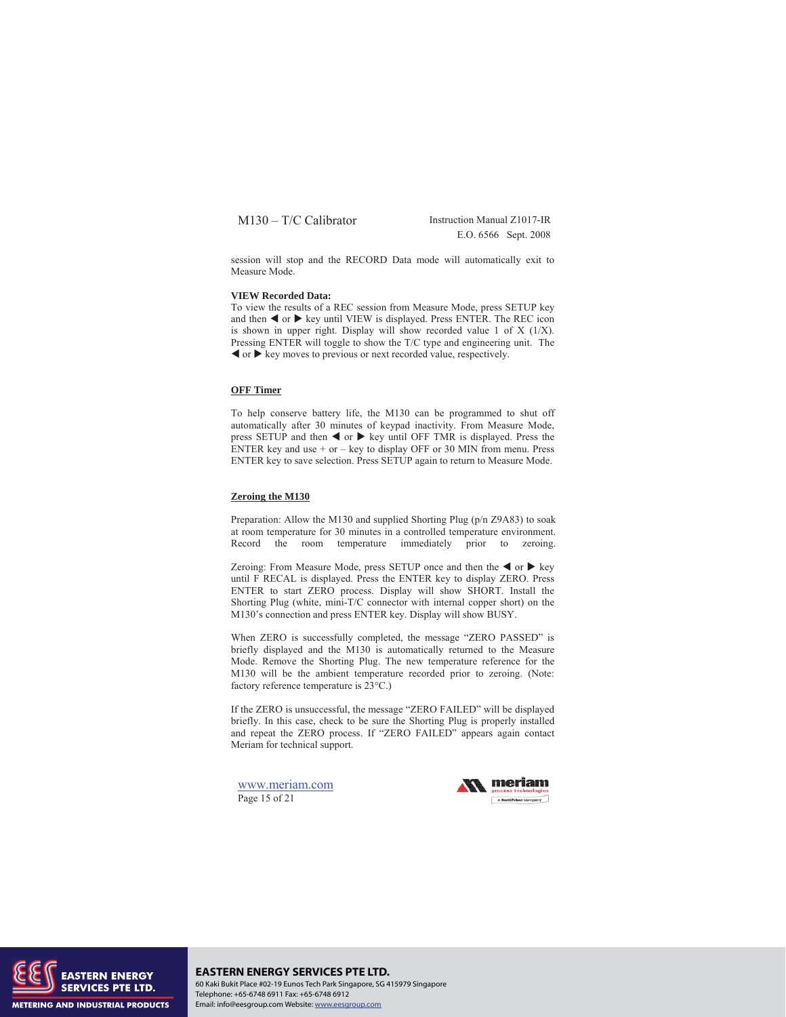E.O. 6566 Sept. 2008

session will stop and the RECORD Data mode will automatically exit to Measure Mode.

#### **VIEW Recorded Data:**

To view the results of a REC session from Measure Mode, press SETUP key and then  $\blacktriangleleft$  or  $\blacktriangleright$  key until VIEW is displayed. Press ENTER. The REC icon is shown in upper right. Display will show recorded value 1 of X (1/X). Pressing ENTER will toggle to show the T/C type and engineering unit. The  $\blacktriangleleft$  or  $\blacktriangleright$  key moves to previous or next recorded value, respectively.

## **OFF Timer**

To help conserve battery life, the M130 can be programmed to shut off automatically after 30 minutes of keypad inactivity. From Measure Mode, press SETUP and then  $\blacktriangleleft$  or  $\blacktriangleright$  key until OFF TMR is displayed. Press the ENTER key and use + or – key to display OFF or 30 MIN from menu. Press ENTER key to save selection. Press SETUP again to return to Measure Mode.

#### **Zeroing the M130**

Preparation: Allow the M130 and supplied Shorting Plug (p/n Z9A83) to soak at room temperature for 30 minutes in a controlled temperature environment. Record the room temperature immediately prior to zeroing.

Zeroing: From Measure Mode, press SETUP once and then the  $\triangleleft$  or  $\triangleright$  key until F RECAL is displayed. Press the ENTER key to display ZERO. Press ENTER to start ZERO process. Display will show SHORT. Install the Shorting Plug (white, mini-T/C connector with internal copper short) on the M130's connection and press ENTER key. Display will show BUSY.

When ZERO is successfully completed, the message "ZERO PASSED" is briefly displayed and the M130 is automatically returned to the Measure Mode. Remove the Shorting Plug. The new temperature reference for the M130 will be the ambient temperature recorded prior to zeroing. (Note: factory reference temperature is  $23^{\circ}$ C.)

If the ZERO is unsuccessful, the message "ZERO FAILED" will be displayed briefly. In this case, check to be sure the Shorting Plug is properly installed and repeat the ZERO process. If "ZERO FAILED" appears again contact Meriam for technical support.

www.meriam.com Page 15 of 21





**EASTERN ENERGY SERVICES PTE LTD.** 60 Kaki Bukit Place #02-19 Eunos Tech Park Singapore, SG 415979 Singapore Telephone: +65-6748 6911 Fax: +65-6748 6912 Email: info@eesgroup.com Website: www.eesgroup.com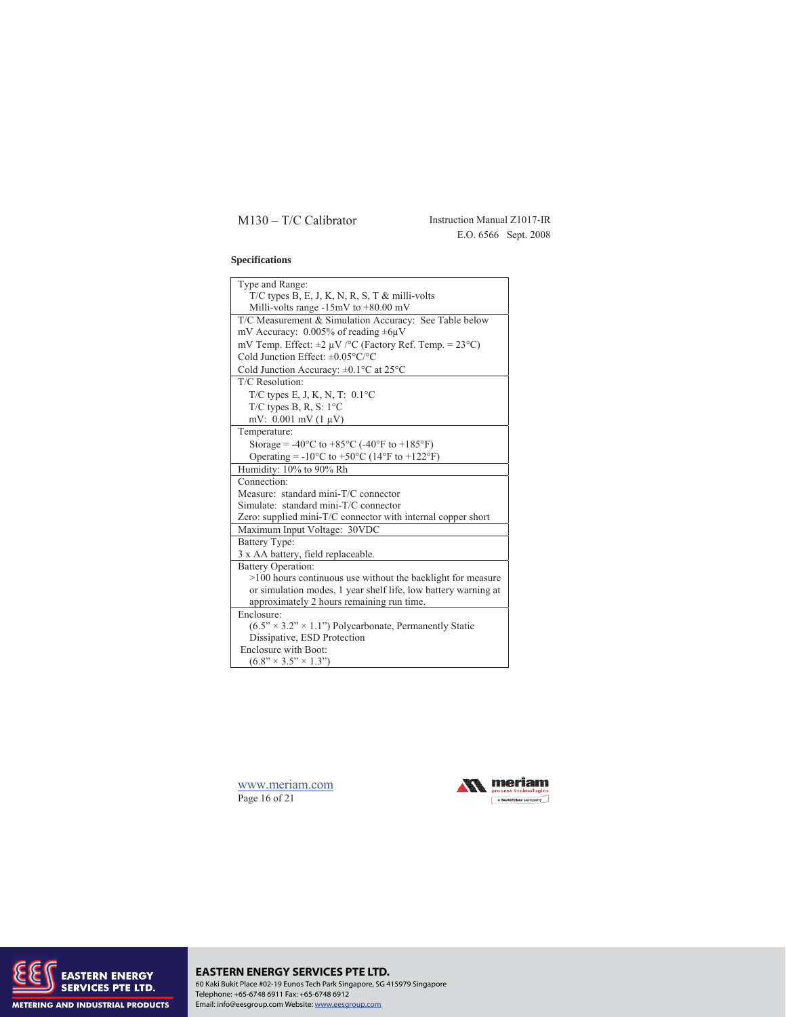M130 – T/C Calibrator Instruction Manual Z1017-IR E.O. 6566 Sept. 2008

## **Specifications**

| Type and Range:                                                                     |
|-------------------------------------------------------------------------------------|
| $T/C$ types B, E, J, K, N, R, S, T & milli-volts                                    |
| Milli-volts range $-15mV$ to $+80.00$ mV                                            |
| T/C Measurement & Simulation Accuracy: See Table below                              |
| mV Accuracy: $0.005\%$ of reading $\pm 6\mu$ V                                      |
| mV Temp. Effect: $\pm 2 \mu V$ /°C (Factory Ref. Temp. = 23°C)                      |
| Cold Junction Effect: $\pm 0.05^{\circ}$ C/°C                                       |
| Cold Junction Accuracy: $\pm 0.1$ °C at 25°C                                        |
| T/C Resolution:                                                                     |
| T/C types E, J, K, N, T: $0.1^{\circ}$ C                                            |
| T/C types B, R, S: $1^{\circ}$ C                                                    |
| mV: $0.001$ mV $(1 \mu V)$                                                          |
| Temperature:                                                                        |
| Storage = $-40^{\circ}$ C to $+85^{\circ}$ C ( $-40^{\circ}$ F to $+185^{\circ}$ F) |
| Operating = $-10^{\circ}$ C to $+50^{\circ}$ C (14°F to $+122^{\circ}$ F)           |
| Humidity: 10% to 90% Rh                                                             |
| Connection:                                                                         |
| Measure: standard mini-T/C connector                                                |
| Simulate: standard mini-T/C connector                                               |
| Zero: supplied mini-T/C connector with internal copper short                        |
| Maximum Input Voltage: 30VDC                                                        |
| <b>Battery Type:</b>                                                                |
| 3 x AA battery, field replaceable.                                                  |
| <b>Battery Operation:</b>                                                           |
| >100 hours continuous use without the backlight for measure                         |
| or simulation modes, 1 year shelf life, low battery warning at                      |
| approximately 2 hours remaining run time.                                           |
| Enclosure:                                                                          |
| $(6.5" \times 3.2" \times 1.1")$ Polycarbonate, Permanently Static                  |
| Dissipative, ESD Protection                                                         |
| Enclosure with Boot:                                                                |
| $(6.8" \times 3.5" \times 1.3")$                                                    |

www.meriam.com Page 16 of 21





# **EASTERN ENERGY SERVICES PTE LTD.** 60 Kaki Bukit Place #02-19 Eunos Tech Park Singapore, SG 415979 Singapore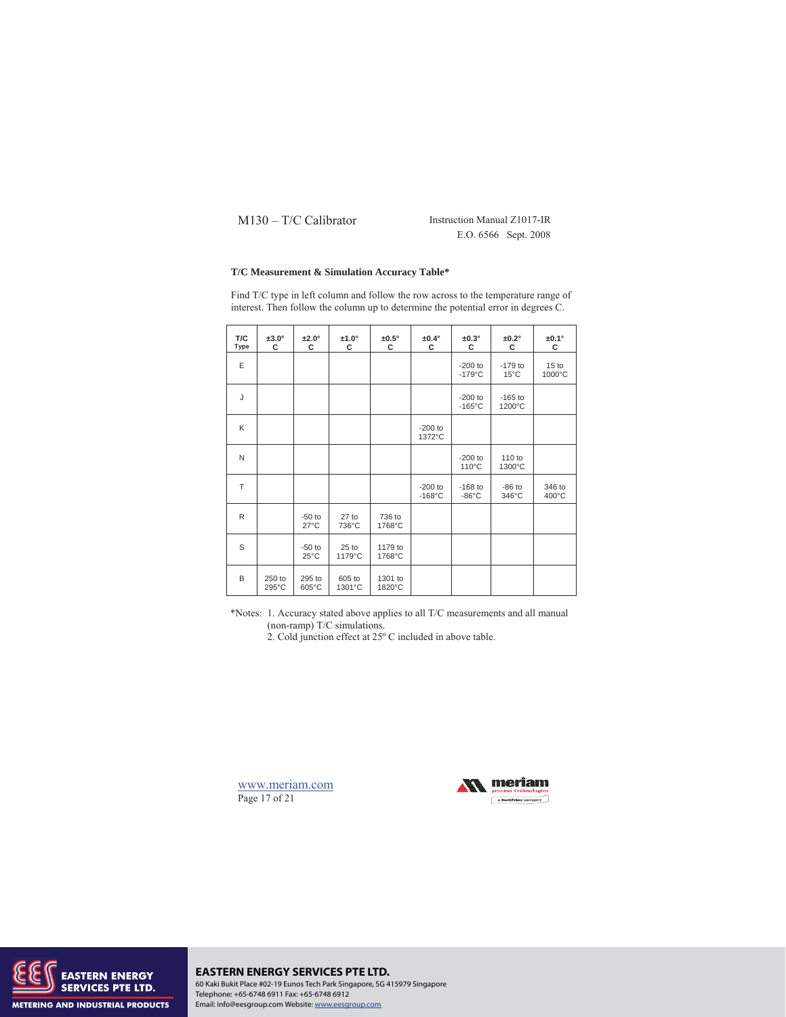E.O. 6566 Sept. 2008

## **T/C Measurement & Simulation Accuracy Table\***

| T/C<br><b>Type</b> | $±3.0^\circ$<br>c | $±2.0^\circ$<br>c          | $±1.0^\circ$<br>c | $±0.5^\circ$<br>c | $±0.4^\circ$<br>c             | $±0.3^\circ$<br>c             | $±0.2^\circ$<br>c           | $±0.1^\circ$<br>c          |
|--------------------|-------------------|----------------------------|-------------------|-------------------|-------------------------------|-------------------------------|-----------------------------|----------------------------|
| E                  |                   |                            |                   |                   |                               | $-200$ to<br>$-179^{\circ}$ C | $-179$ to<br>$15^{\circ}$ C | 15 <sub>to</sub><br>1000°C |
| J                  |                   |                            |                   |                   |                               | $-200$ to<br>$-165^{\circ}$ C | $-165$ to<br>1200°C         |                            |
| K                  |                   |                            |                   |                   | $-200$ to<br>1372°C           |                               |                             |                            |
| N                  |                   |                            |                   |                   |                               | $-200$ to<br>$110^{\circ}$ C  | 110 to<br>1300°C            |                            |
| T                  |                   |                            |                   |                   | $-200$ to<br>$-168^{\circ}$ C | $-168$ to<br>$-86^{\circ}$ C  | $-86$ to<br>346°C           | 346 to<br>$400^{\circ}$ C  |
| R                  |                   | $-50$ to<br>$27^{\circ}$ C | $27$ to<br>736°C  | 736 to<br>1768°C  |                               |                               |                             |                            |
| S                  |                   | $-50$ to<br>$25^{\circ}$ C | $25$ to<br>1179°C | 1179 to<br>1768°C |                               |                               |                             |                            |
| B                  | 250 to<br>295°C   | 295 to<br>605°C            | 605 to<br>1301°C  | 1301 to<br>1820°C |                               |                               |                             |                            |

Find T/C type in left column and follow the row across to the temperature range of interest. Then follow the column up to determine the potential error in degrees C.

\*Notes: 1. Accuracy stated above applies to all T/C measurements and all manual (non-ramp) T/C simulations.

2. Cold junction effect at 25º C included in above table.

www.meriam.com Page 17 of 21





## **EASTERN ENERGY SERVICES PTE LTD.** 60 Kaki Bukit Place #02-19 Eunos Tech Park Singapore, SG 415979 Singapore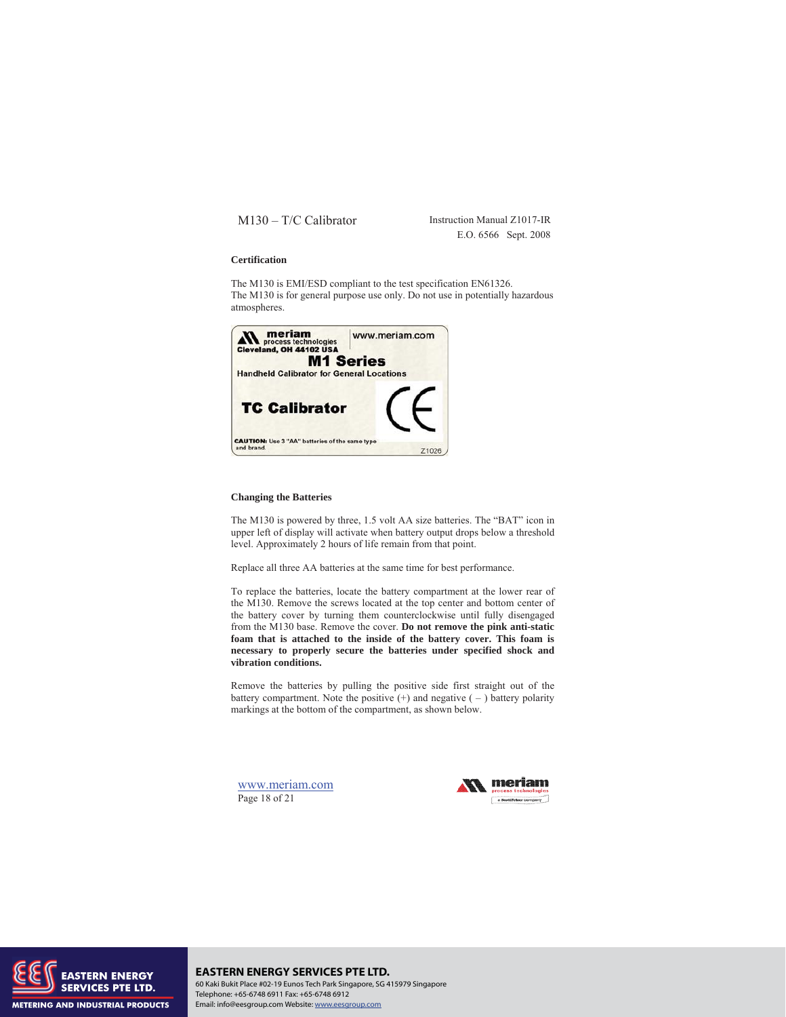E.O. 6566 Sept. 2008

#### **Certification**

The M130 is EMI/ESD compliant to the test specification EN61326. The M130 is for general purpose use only. Do not use in potentially hazardous atmospheres.



#### **Changing the Batteries**

The M130 is powered by three, 1.5 volt AA size batteries. The "BAT" icon in upper left of display will activate when battery output drops below a threshold level. Approximately 2 hours of life remain from that point.

Replace all three AA batteries at the same time for best performance.

To replace the batteries, locate the battery compartment at the lower rear of the M130. Remove the screws located at the top center and bottom center of the battery cover by turning them counterclockwise until fully disengaged from the M130 base. Remove the cover. **Do not remove the pink anti-static foam that is attached to the inside of the battery cover. This foam is necessary to properly secure the batteries under specified shock and vibration conditions.**

Remove the batteries by pulling the positive side first straight out of the battery compartment. Note the positive  $(+)$  and negative  $(-)$  battery polarity markings at the bottom of the compartment, as shown below.

www.meriam.com Page 18 of 21





**EASTERN ENERGY SERVICES PTE LTD.** 60 Kaki Bukit Place #02-19 Eunos Tech Park Singapore, SG 415979 Singapore Telephone: +65-6748 6911 Fax: +65-6748 6912 Email: info@eesgroup.com Website: www.eesgroup.com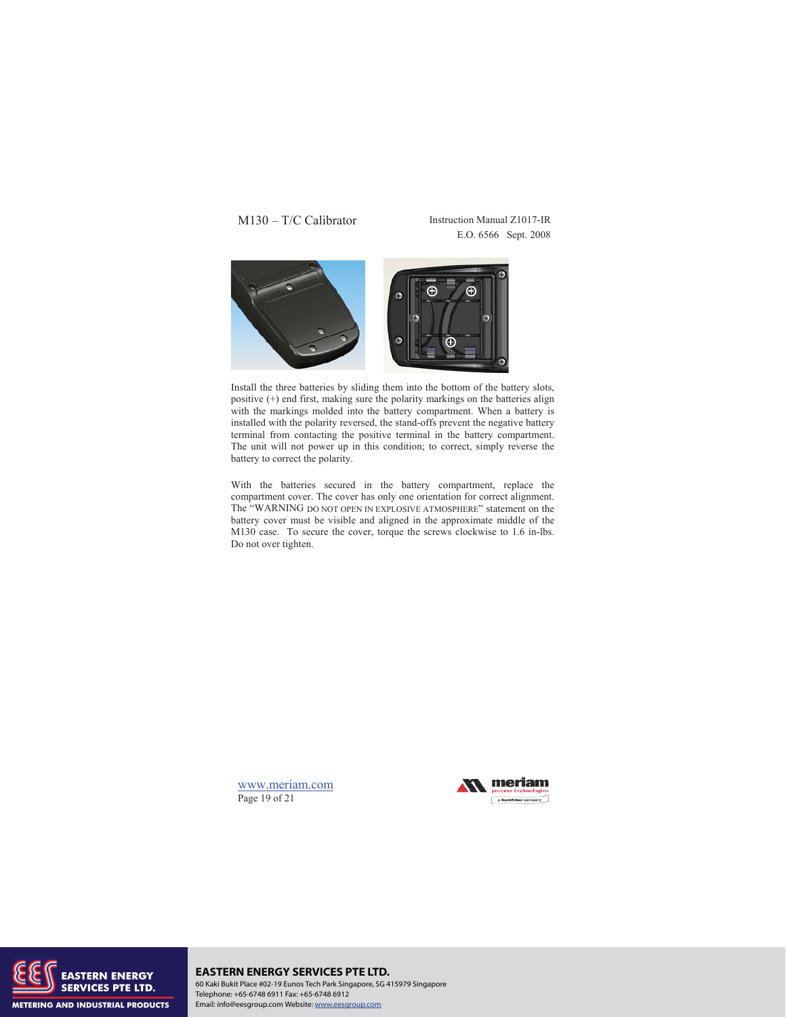E.O. 6566 Sept. 2008



Install the three batteries by sliding them into the bottom of the battery slots, positive (+) end first, making sure the polarity markings on the batteries align with the markings molded into the battery compartment. When a battery is installed with the polarity reversed, the stand-offs prevent the negative battery terminal from contacting the positive terminal in the battery compartment. The unit will not power up in this condition; to correct, simply reverse the battery to correct the polarity.

With the batteries secured in the battery compartment, replace the compartment cover. The cover has only one orientation for correct alignment. The "WARNING DO NOT OPEN IN EXPLOSIVE ATMOSPHERE" statement on the battery cover must be visible and aligned in the approximate middle of the M130 case. To secure the cover, torque the screws clockwise to 1.6 in-lbs. Do not over tighten.

www.meriam.com Page 19 of 21





**EASTERN ENERGY SERVICES PTE LTD.** 60 Kaki Bukit Place #02-19 Eunos Tech Park Singapore, SG 415979 Singapore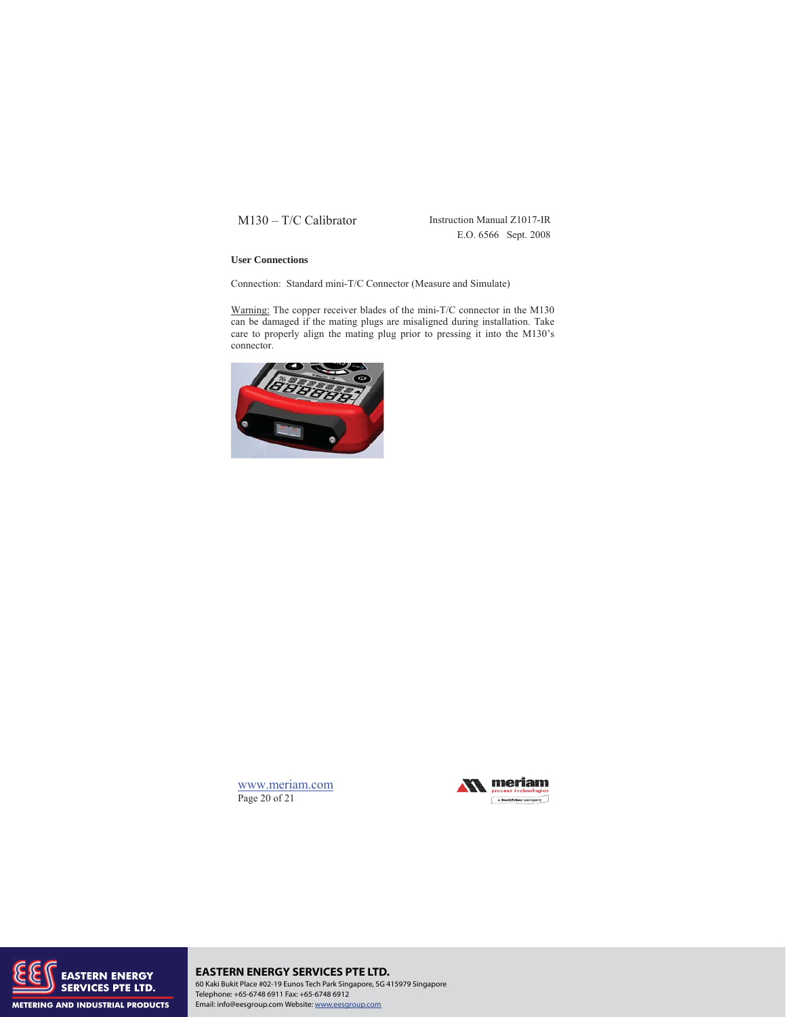E.O. 6566 Sept. 2008

## **User Connections**

Connection: Standard mini-T/C Connector (Measure and Simulate)

Warning: The copper receiver blades of the mini-T/C connector in the M130 can be damaged if the mating plugs are misaligned during installation. Take care to properly align the mating plug prior to pressing it into the M130's connector.









# **EASTERN ENERGY SERVICES PTE LTD.**

60 Kaki Bukit Place #02-19 Eunos Tech Park Singapore, SG 415979 Singapore Telephone: +65-6748 6911 Fax: +65-6748 6912 Email: info@eesgroup.com Website: www.eesgroup.com